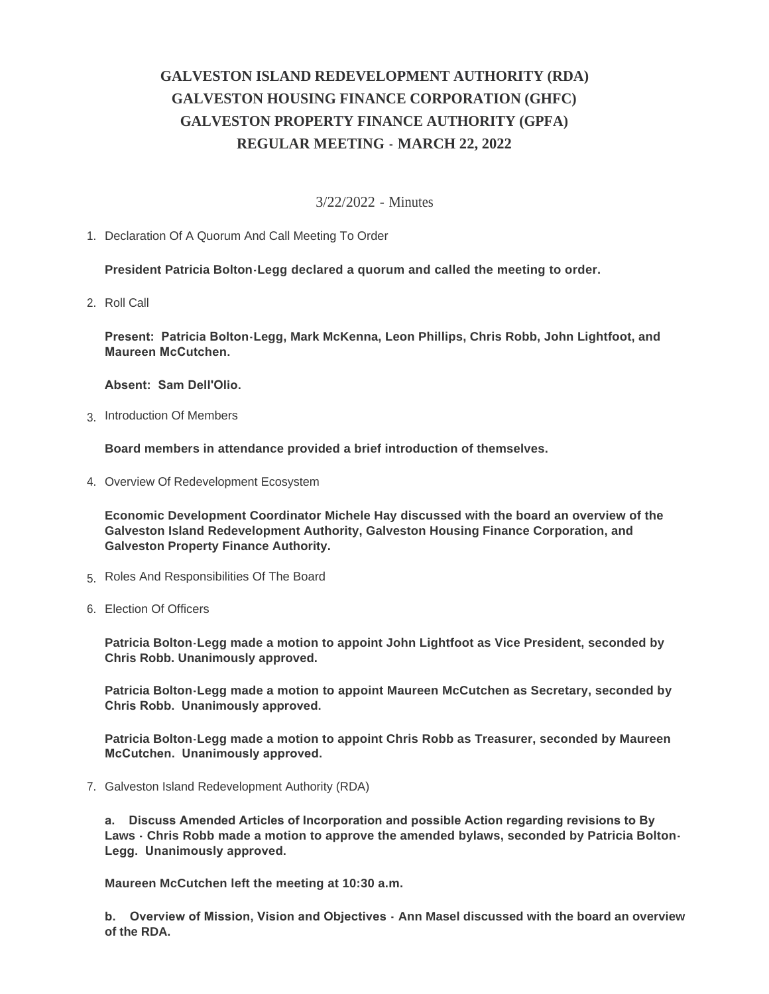## **GALVESTON ISLAND REDEVELOPMENT AUTHORITY (RDA) GALVESTON HOUSING FINANCE CORPORATION (GHFC) GALVESTON PROPERTY FINANCE AUTHORITY (GPFA) REGULAR MEETING - MARCH 22, 2022**

## 3/22/2022 - Minutes

1. Declaration Of A Quorum And Call Meeting To Order

**President Patricia Bolton-Legg declared a quorum and called the meeting to order.**

2. Roll Call

**Present: Patricia Bolton-Legg, Mark McKenna, Leon Phillips, Chris Robb, John Lightfoot, and Maureen McCutchen.** 

**Absent: Sam Dell'Olio.**

3. Introduction Of Members

**Board members in attendance provided a brief introduction of themselves.**

4. Overview Of Redevelopment Ecosystem

**Economic Development Coordinator Michele Hay discussed with the board an overview of the Galveston Island Redevelopment Authority, Galveston Housing Finance Corporation, and Galveston Property Finance Authority.**

- 5. Roles And Responsibilities Of The Board
- 6. Election Of Officers

**Patricia Bolton-Legg made a motion to appoint John Lightfoot as Vice President, seconded by Chris Robb. Unanimously approved.**

**Patricia Bolton-Legg made a motion to appoint Maureen McCutchen as Secretary, seconded by Chris Robb. Unanimously approved.**

**Patricia Bolton-Legg made a motion to appoint Chris Robb as Treasurer, seconded by Maureen McCutchen. Unanimously approved.**

7. Galveston Island Redevelopment Authority (RDA)

**a. Discuss Amended Articles of Incorporation and possible Action regarding revisions to By Laws - Chris Robb made a motion to approve the amended bylaws, seconded by Patricia Bolton-Legg. Unanimously approved.**

**Maureen McCutchen left the meeting at 10:30 a.m.**

**b. Overview of Mission, Vision and Objectives - Ann Masel discussed with the board an overview of the RDA.**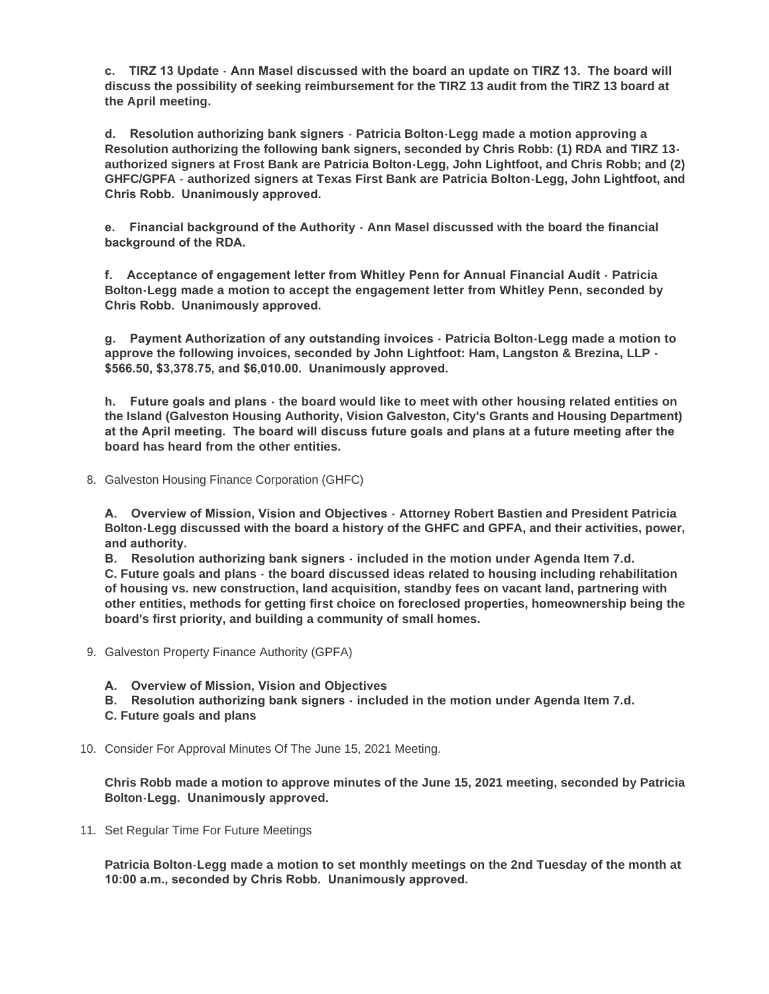**c. TIRZ 13 Update - Ann Masel discussed with the board an update on TIRZ 13. The board will discuss the possibility of seeking reimbursement for the TIRZ 13 audit from the TIRZ 13 board at the April meeting.**

**d. Resolution authorizing bank signers - Patricia Bolton-Legg made a motion approving a Resolution authorizing the following bank signers, seconded by Chris Robb: (1) RDA and TIRZ 13 authorized signers at Frost Bank are Patricia Bolton-Legg, John Lightfoot, and Chris Robb; and (2) GHFC/GPFA - authorized signers at Texas First Bank are Patricia Bolton-Legg, John Lightfoot, and Chris Robb. Unanimously approved.**

**e. Financial background of the Authority - Ann Masel discussed with the board the financial background of the RDA.** 

**f. Acceptance of engagement letter from Whitley Penn for Annual Financial Audit - Patricia Bolton-Legg made a motion to accept the engagement letter from Whitley Penn, seconded by Chris Robb. Unanimously approved.**

**g. Payment Authorization of any outstanding invoices - Patricia Bolton-Legg made a motion to approve the following invoices, seconded by John Lightfoot: Ham, Langston & Brezina, LLP - \$566.50, \$3,378.75, and \$6,010.00. Unanimously approved.**

**h. Future goals and plans - the board would like to meet with other housing related entities on the Island (Galveston Housing Authority, Vision Galveston, City's Grants and Housing Department) at the April meeting. The board will discuss future goals and plans at a future meeting after the board has heard from the other entities.**

8. Galveston Housing Finance Corporation (GHFC)

**A. Overview of Mission, Vision and Objectives - Attorney Robert Bastien and President Patricia Bolton-Legg discussed with the board a history of the GHFC and GPFA, and their activities, power, and authority.** 

**B. Resolution authorizing bank signers - included in the motion under Agenda Item 7.d. C. Future goals and plans - the board discussed ideas related to housing including rehabilitation of housing vs. new construction, land acquisition, standby fees on vacant land, partnering with other entities, methods for getting first choice on foreclosed properties, homeownership being the board's first priority, and building a community of small homes.**

- 9. Galveston Property Finance Authority (GPFA)
	- **A. Overview of Mission, Vision and Objectives**
	- **B. Resolution authorizing bank signers included in the motion under Agenda Item 7.d.**
	- **C. Future goals and plans**
- 10. Consider For Approval Minutes Of The June 15, 2021 Meeting.

**Chris Robb made a motion to approve minutes of the June 15, 2021 meeting, seconded by Patricia Bolton-Legg. Unanimously approved.**

11. Set Regular Time For Future Meetings

**Patricia Bolton-Legg made a motion to set monthly meetings on the 2nd Tuesday of the month at 10:00 a.m., seconded by Chris Robb. Unanimously approved.**